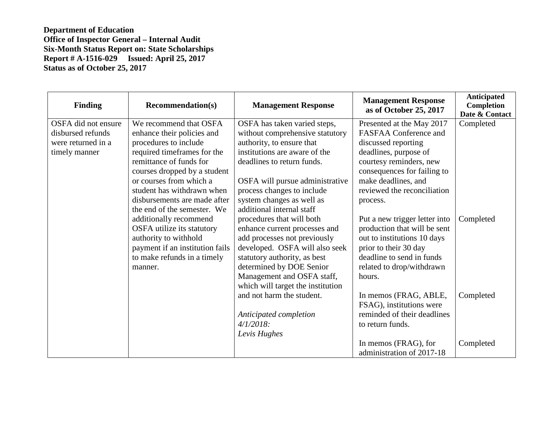| <b>Finding</b>      | <b>Recommendation(s)</b>        | <b>Management Response</b>        | <b>Management Response</b><br>as of October 25, 2017 | <b>Anticipated</b><br>Completion<br>Date & Contact |
|---------------------|---------------------------------|-----------------------------------|------------------------------------------------------|----------------------------------------------------|
| OSFA did not ensure | We recommend that OSFA          | OSFA has taken varied steps,      | Presented at the May 2017                            | Completed                                          |
| disbursed refunds   | enhance their policies and      | without comprehensive statutory   | <b>FASFAA Conference and</b>                         |                                                    |
| were returned in a  | procedures to include           | authority, to ensure that         | discussed reporting                                  |                                                    |
| timely manner       | required timeframes for the     | institutions are aware of the     | deadlines, purpose of                                |                                                    |
|                     | remittance of funds for         | deadlines to return funds.        | courtesy reminders, new                              |                                                    |
|                     | courses dropped by a student    |                                   | consequences for failing to                          |                                                    |
|                     | or courses from which a         | OSFA will pursue administrative   | make deadlines, and                                  |                                                    |
|                     | student has withdrawn when      | process changes to include        | reviewed the reconciliation                          |                                                    |
|                     | disbursements are made after    | system changes as well as         | process.                                             |                                                    |
|                     | the end of the semester. We     | additional internal staff         |                                                      |                                                    |
|                     | additionally recommend          | procedures that will both         | Put a new trigger letter into                        | Completed                                          |
|                     | OSFA utilize its statutory      | enhance current processes and     | production that will be sent                         |                                                    |
|                     | authority to withhold           | add processes not previously      | out to institutions 10 days                          |                                                    |
|                     | payment if an institution fails | developed. OSFA will also seek    | prior to their 30 day                                |                                                    |
|                     | to make refunds in a timely     | statutory authority, as best      | deadline to send in funds                            |                                                    |
|                     | manner.                         | determined by DOE Senior          | related to drop/withdrawn                            |                                                    |
|                     |                                 | Management and OSFA staff,        | hours.                                               |                                                    |
|                     |                                 | which will target the institution |                                                      |                                                    |
|                     |                                 | and not harm the student.         | In memos (FRAG, ABLE,                                | Completed                                          |
|                     |                                 |                                   | FSAG), institutions were                             |                                                    |
|                     |                                 | Anticipated completion            | reminded of their deadlines                          |                                                    |
|                     |                                 | $4/1/2018$ :                      | to return funds.                                     |                                                    |
|                     |                                 | Levis Hughes                      |                                                      |                                                    |
|                     |                                 |                                   | In memos (FRAG), for                                 | Completed                                          |
|                     |                                 |                                   | administration of 2017-18                            |                                                    |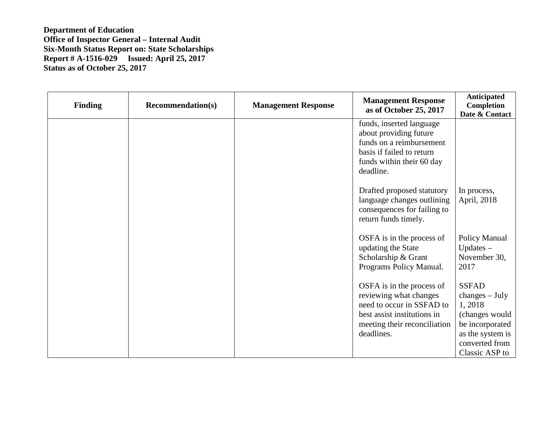| <b>Finding</b> | <b>Recommendation(s)</b> | <b>Management Response</b> | <b>Management Response</b><br>as of October 25, 2017                                                                                                          | <b>Anticipated</b><br>Completion<br>Date & Contact                                                                                      |
|----------------|--------------------------|----------------------------|---------------------------------------------------------------------------------------------------------------------------------------------------------------|-----------------------------------------------------------------------------------------------------------------------------------------|
|                |                          |                            | funds, inserted language<br>about providing future<br>funds on a reimbursement<br>basis if failed to return<br>funds within their 60 day<br>deadline.         |                                                                                                                                         |
|                |                          |                            | Drafted proposed statutory<br>language changes outlining<br>consequences for failing to<br>return funds timely.                                               | In process,<br>April, 2018                                                                                                              |
|                |                          |                            | OSFA is in the process of<br>updating the State<br>Scholarship & Grant<br>Programs Policy Manual.                                                             | Policy Manual<br>$Up dates -$<br>November 30,<br>2017                                                                                   |
|                |                          |                            | OSFA is in the process of<br>reviewing what changes<br>need to occur in SSFAD to<br>best assist institutions in<br>meeting their reconciliation<br>deadlines. | <b>SSFAD</b><br>$changes - July$<br>1,2018<br>(changes would<br>be incorporated<br>as the system is<br>converted from<br>Classic ASP to |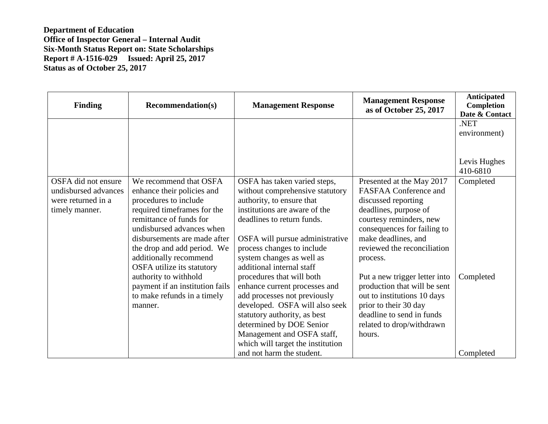| <b>Finding</b>       | <b>Recommendation(s)</b>                             | <b>Management Response</b>                              | <b>Management Response</b><br>as of October 25, 2017 | <b>Anticipated</b><br>Completion<br>Date & Contact |
|----------------------|------------------------------------------------------|---------------------------------------------------------|------------------------------------------------------|----------------------------------------------------|
|                      |                                                      |                                                         |                                                      | .NET                                               |
|                      |                                                      |                                                         |                                                      | environment)                                       |
|                      |                                                      |                                                         |                                                      |                                                    |
|                      |                                                      |                                                         |                                                      |                                                    |
|                      |                                                      |                                                         |                                                      | Levis Hughes                                       |
|                      |                                                      |                                                         |                                                      | 410-6810                                           |
| OSFA did not ensure  | We recommend that OSFA                               | OSFA has taken varied steps,                            | Presented at the May 2017                            | Completed                                          |
| undisbursed advances | enhance their policies and                           | without comprehensive statutory                         | <b>FASFAA Conference and</b>                         |                                                    |
| were returned in a   | procedures to include                                | authority, to ensure that                               | discussed reporting                                  |                                                    |
| timely manner.       | required timeframes for the                          | institutions are aware of the                           | deadlines, purpose of                                |                                                    |
|                      | remittance of funds for                              | deadlines to return funds.                              | courtesy reminders, new                              |                                                    |
|                      | undisbursed advances when                            |                                                         | consequences for failing to                          |                                                    |
|                      | disbursements are made after                         | OSFA will pursue administrative                         | make deadlines, and<br>reviewed the reconciliation   |                                                    |
|                      | the drop and add period. We                          | process changes to include<br>system changes as well as |                                                      |                                                    |
|                      | additionally recommend<br>OSFA utilize its statutory | additional internal staff                               | process.                                             |                                                    |
|                      | authority to withhold                                | procedures that will both                               | Put a new trigger letter into                        | Completed                                          |
|                      | payment if an institution fails                      | enhance current processes and                           | production that will be sent                         |                                                    |
|                      | to make refunds in a timely                          | add processes not previously                            | out to institutions 10 days                          |                                                    |
|                      | manner.                                              | developed. OSFA will also seek                          | prior to their 30 day                                |                                                    |
|                      |                                                      | statutory authority, as best                            | deadline to send in funds                            |                                                    |
|                      |                                                      | determined by DOE Senior                                | related to drop/withdrawn                            |                                                    |
|                      |                                                      | Management and OSFA staff,                              | hours.                                               |                                                    |
|                      |                                                      | which will target the institution                       |                                                      |                                                    |
|                      |                                                      | and not harm the student.                               |                                                      | Completed                                          |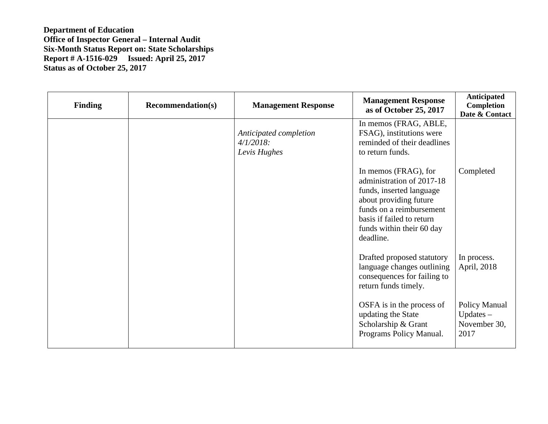| <b>Finding</b> | <b>Recommendation(s)</b> | <b>Management Response</b>                             | <b>Management Response</b><br>as of October 25, 2017                                                                                                                                                       | <b>Anticipated</b><br>Completion<br>Date & Contact    |
|----------------|--------------------------|--------------------------------------------------------|------------------------------------------------------------------------------------------------------------------------------------------------------------------------------------------------------------|-------------------------------------------------------|
|                |                          | Anticipated completion<br>$4/1/2018$ :<br>Levis Hughes | In memos (FRAG, ABLE,<br>FSAG), institutions were<br>reminded of their deadlines<br>to return funds.                                                                                                       |                                                       |
|                |                          |                                                        | In memos (FRAG), for<br>administration of 2017-18<br>funds, inserted language<br>about providing future<br>funds on a reimbursement<br>basis if failed to return<br>funds within their 60 day<br>deadline. | Completed                                             |
|                |                          |                                                        | Drafted proposed statutory<br>language changes outlining<br>consequences for failing to<br>return funds timely.                                                                                            | In process.<br>April, 2018                            |
|                |                          |                                                        | OSFA is in the process of<br>updating the State<br>Scholarship & Grant<br>Programs Policy Manual.                                                                                                          | Policy Manual<br>$Up dates -$<br>November 30,<br>2017 |